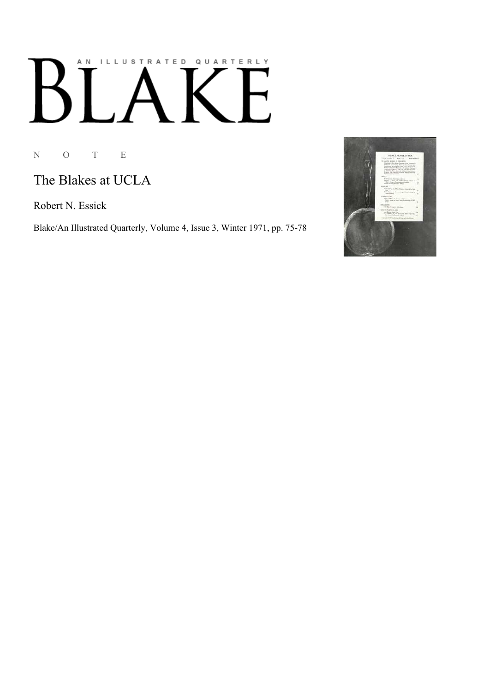## AN ILLUSTRATED QUARTERLY  $\overline{I}$   $\overline{A}$  $B$  $\mathsf{E}$

N O T E

## The Blakes at UCLA

Robert N. Essick

Blake/An Illustrated Quarterly, Volume 4, Issue 3, Winter 1971, pp. 75-78

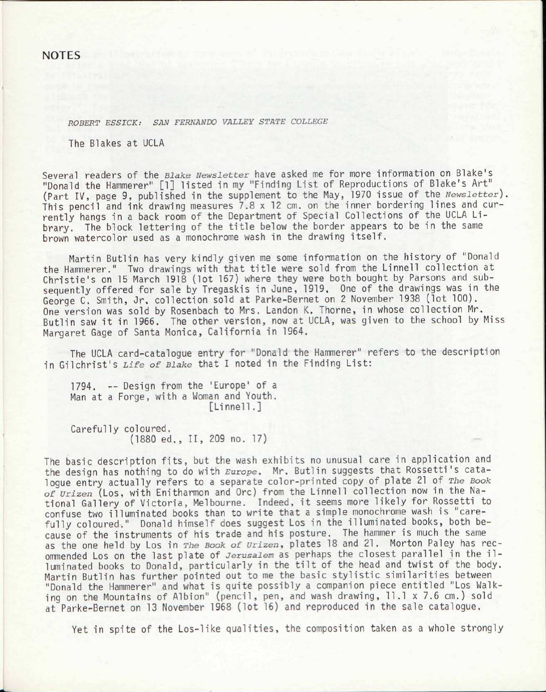*ROBERT ESSICK: SAN FERNANDO VALLEY STATE COLLEGE* 

The Blakes at UCLA

Several readers of the *Blake Newsletter* have asked me for more information on Blake's "Donald the Hammerer" [1] listed in my "Finding List of Reproductions of Blake's Art" (Part IV, page 9, published in the supplement to the May, 1970 issue of the *Newsletter)*. This pencil and ink drawing measures 7.8 x 12 cm. on the inner bordering lines and currently hangs in a back room of the Department of Special Collections of the UCLA Library. The block lettering of the title below the border appears to be in the same brown watercolor used as a monochrome wash in the drawing itself.

Martin Butlin has *wery* kindly given me some information on the history of "Donald the Hammerer." Two drawings with that title were sold from the Linnell collection at Christie's on 15 March 1918 (lot 167) where they were both bought by Parsons and subsequently offered for sale by Tregaskis in June, 1919. One of the drawings was in the George C. Smith, Jr. collection sold at Parke-Bernet on 2 November 1938 (lot 100). One version was sold by Rosenbach to Mrs. Landon K. Thorne, in whose collection Mr. Butlin saw it in 1966. The other version, now at UCLA, was given to the school by Miss Margaret Gage of Santa Monica, California in 1964.

The UCLA card-catalogue entry for "Donald the Hammerer" refers to the description in Gilchrist's *Life of Blake* that I noted in the Finding List:

1794. -- Design from the 'Europe' of a Man at a Forge, with a Woman and Youth. [Linnell.]

Carefully coloured. (1880 ed., II, 209 no. 17)

The basic description fits, but the wash exhibits no unusual care in application and the design has nothing to do with *Europe.* Mr. Butlin suggests that Rossetti's catalogue entry actually refers to a separate color-printed copy of plate 21 of *The Book of urizen* (Los, with Enitharmon and Ore) from the Linnell collection now in the National Gallery of Victoria, Melbourne. Indeed, it seems more likely for Rossetti to confuse two illuminated books than to write that a simple monochrome wash is "carefully coloured." Donald himself does suggest Los in the illuminated books, both because of the instruments of his trade and his posture. The hammer is much the same as the one held by Los in *The Book of Urizen,* plates 18 and 21. Morton Paley has recommended Los on the last plate of *Jerusalem* as perhaps the closest parallel in the illuminated books to Donald, particularly in the tilt of the head and twist of the body. Martin Butlin has further pointed out to me the basic stylistic similarities between "Donald the Hammerer" and what is quite possibly a companion piece entitled "Los Walking on the Mountains of Albion" (pencil, pen, and wash drawing, 11.1 x 7.6 cm.) sold at Parke-Bernet on 13 November 1968 (lot 16) and reproduced in the sale catalogue.

Yet in spite of the Los-like qualities, the composition taken as a whole strongly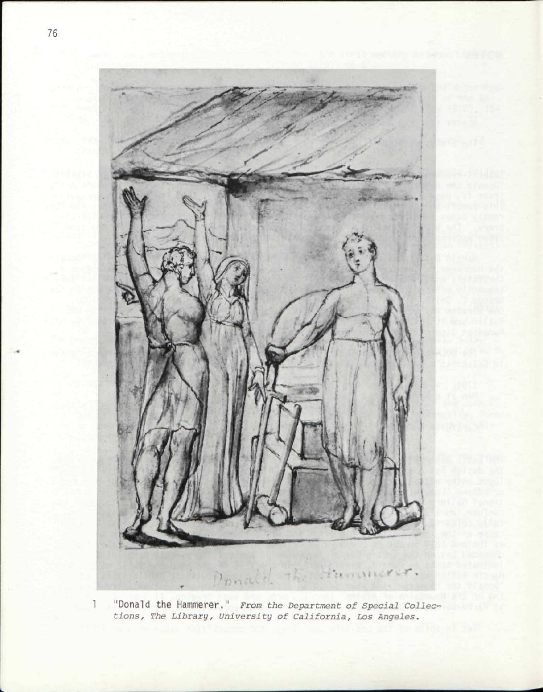

 $1 -$ "Donald the Hammerer." *From the Department of Special Collections, The Library, University of California, Los Angeles.*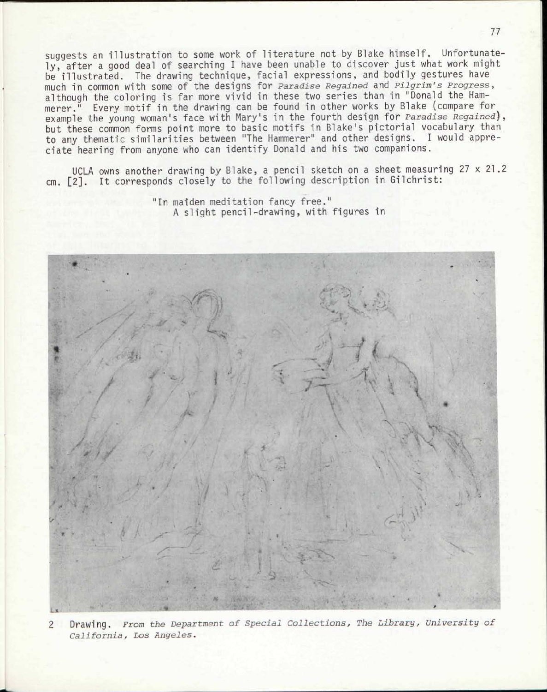suggests an illustration to some work of literature not by Blake himself. Unfortunately, after a good deal of searching I have been unable to discover just what work might be illustrated. The drawing technique, facial expressions, and bodily gestures have much in common With some Of the designs for *Paradise Regained* and *Pilgrim's Progress,*  although the coloring is far more vivid in these two series than in "Donald the Hammerer." Every motif in the drawing can be found in other works by Blake (compare for example the young woman's face with Mary's in the fourth design for *Paradise Regained),*  but these common forms point more to basic motifs in Blake's pictorial vocabulary than to any thematic similarities between "The Hammerer" and other designs. I would appreciate hearing from anyone who can identify Donald and his two companions.

UCLA owns another drawing by Blake, a pencil sketch on a sheet measuring 27 x 21.2 cm. [2]. It corresponds closely to the following description in Gilchrist:

> "In maiden meditation fancy free." A slight pencil-drawing, with figures in



2 Drawing. *From the Department of Special Collections, The Library, University of California, Los Angeles.*